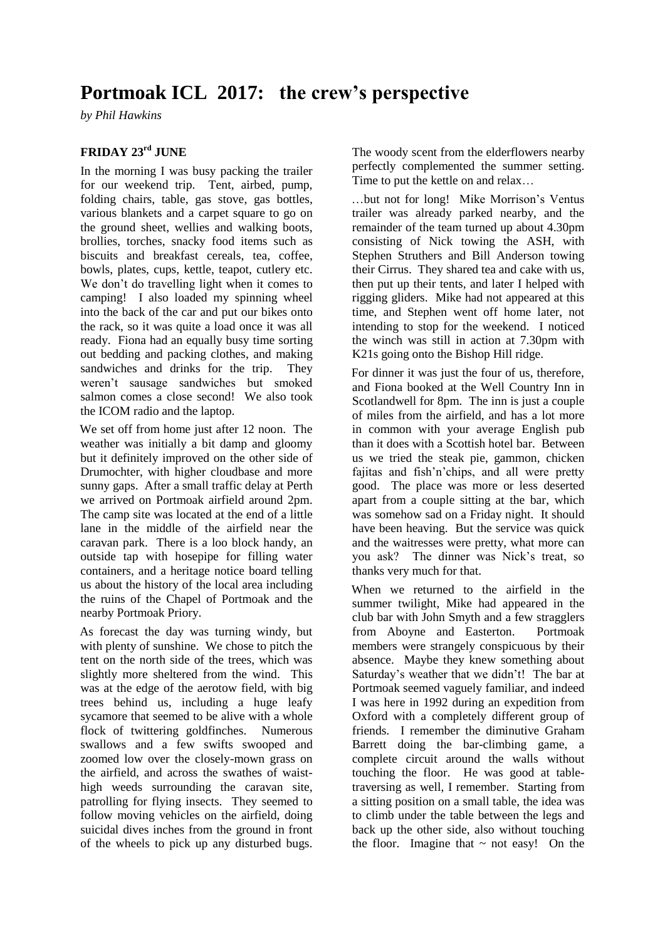## **Portmoak ICL 2017: the crew's perspective**

*by Phil Hawkins*

## **FRIDAY 23rd JUNE**

In the morning I was busy packing the trailer for our weekend trip. Tent, airbed, pump, folding chairs, table, gas stove, gas bottles, various blankets and a carpet square to go on the ground sheet, wellies and walking boots, brollies, torches, snacky food items such as biscuits and breakfast cereals, tea, coffee, bowls, plates, cups, kettle, teapot, cutlery etc. We don't do travelling light when it comes to camping! I also loaded my spinning wheel into the back of the car and put our bikes onto the rack, so it was quite a load once it was all ready. Fiona had an equally busy time sorting out bedding and packing clothes, and making sandwiches and drinks for the trip. They weren't sausage sandwiches but smoked salmon comes a close second! We also took the ICOM radio and the laptop.

We set off from home just after 12 noon. The weather was initially a bit damp and gloomy but it definitely improved on the other side of Drumochter, with higher cloudbase and more sunny gaps. After a small traffic delay at Perth we arrived on Portmoak airfield around 2pm. The camp site was located at the end of a little lane in the middle of the airfield near the caravan park. There is a loo block handy, an outside tap with hosepipe for filling water containers, and a heritage notice board telling us about the history of the local area including the ruins of the Chapel of Portmoak and the nearby Portmoak Priory.

As forecast the day was turning windy, but with plenty of sunshine. We chose to pitch the tent on the north side of the trees, which was slightly more sheltered from the wind. This was at the edge of the aerotow field, with big trees behind us, including a huge leafy sycamore that seemed to be alive with a whole flock of twittering goldfinches. Numerous swallows and a few swifts swooped and zoomed low over the closely-mown grass on the airfield, and across the swathes of waisthigh weeds surrounding the caravan site, patrolling for flying insects. They seemed to follow moving vehicles on the airfield, doing suicidal dives inches from the ground in front of the wheels to pick up any disturbed bugs.

The woody scent from the elderflowers nearby perfectly complemented the summer setting. Time to put the kettle on and relax…

…but not for long! Mike Morrison's Ventus trailer was already parked nearby, and the remainder of the team turned up about 4.30pm consisting of Nick towing the ASH, with Stephen Struthers and Bill Anderson towing their Cirrus. They shared tea and cake with us, then put up their tents, and later I helped with rigging gliders. Mike had not appeared at this time, and Stephen went off home later, not intending to stop for the weekend. I noticed the winch was still in action at 7.30pm with K21s going onto the Bishop Hill ridge.

For dinner it was just the four of us, therefore, and Fiona booked at the Well Country Inn in Scotlandwell for 8pm. The inn is just a couple of miles from the airfield, and has a lot more in common with your average English pub than it does with a Scottish hotel bar. Between us we tried the steak pie, gammon, chicken fajitas and fish'n'chips, and all were pretty good. The place was more or less deserted apart from a couple sitting at the bar, which was somehow sad on a Friday night. It should have been heaving. But the service was quick and the waitresses were pretty, what more can you ask? The dinner was Nick's treat, so thanks very much for that.

When we returned to the airfield in the summer twilight, Mike had appeared in the club bar with John Smyth and a few stragglers from Aboyne and Easterton. Portmoak members were strangely conspicuous by their absence. Maybe they knew something about Saturday's weather that we didn't! The bar at Portmoak seemed vaguely familiar, and indeed I was here in 1992 during an expedition from Oxford with a completely different group of friends. I remember the diminutive Graham Barrett doing the bar-climbing game, a complete circuit around the walls without touching the floor. He was good at tabletraversing as well, I remember. Starting from a sitting position on a small table, the idea was to climb under the table between the legs and back up the other side, also without touching the floor. Imagine that  $\sim$  not easy! On the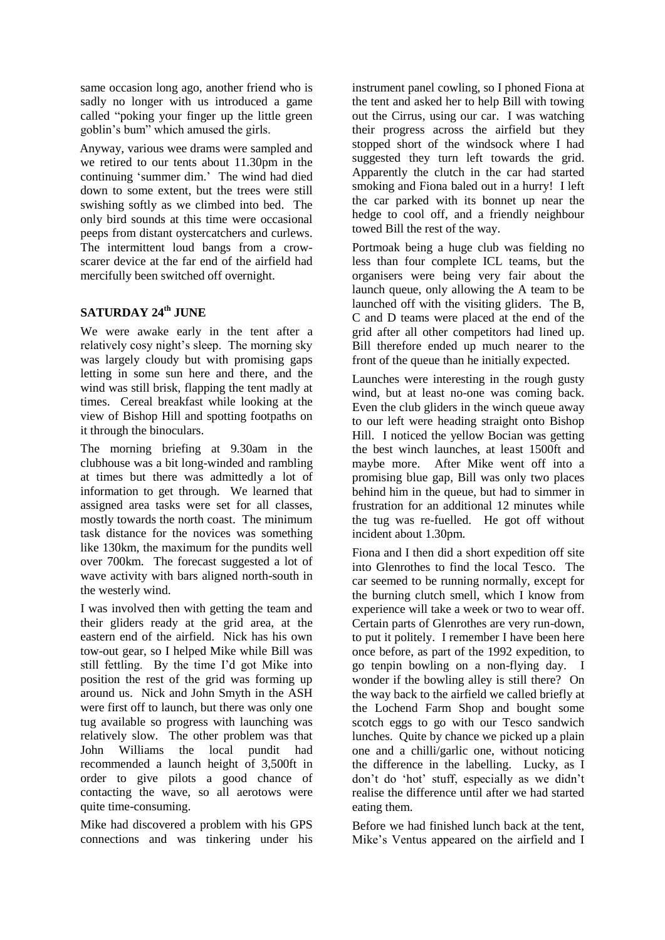same occasion long ago, another friend who is sadly no longer with us introduced a game called "poking your finger up the little green goblin's bum" which amused the girls.

Anyway, various wee drams were sampled and we retired to our tents about 11.30pm in the continuing 'summer dim.' The wind had died down to some extent, but the trees were still swishing softly as we climbed into bed. The only bird sounds at this time were occasional peeps from distant oystercatchers and curlews. The intermittent loud bangs from a crowscarer device at the far end of the airfield had mercifully been switched off overnight.

## **SATURDAY 24th JUNE**

We were awake early in the tent after a relatively cosy night's sleep. The morning sky was largely cloudy but with promising gaps letting in some sun here and there, and the wind was still brisk, flapping the tent madly at times. Cereal breakfast while looking at the view of Bishop Hill and spotting footpaths on it through the binoculars.

The morning briefing at 9.30am in the clubhouse was a bit long-winded and rambling at times but there was admittedly a lot of information to get through. We learned that assigned area tasks were set for all classes, mostly towards the north coast. The minimum task distance for the novices was something like 130km, the maximum for the pundits well over 700km. The forecast suggested a lot of wave activity with bars aligned north-south in the westerly wind.

I was involved then with getting the team and their gliders ready at the grid area, at the eastern end of the airfield. Nick has his own tow-out gear, so I helped Mike while Bill was still fettling. By the time I'd got Mike into position the rest of the grid was forming up around us. Nick and John Smyth in the ASH were first off to launch, but there was only one tug available so progress with launching was relatively slow. The other problem was that John Williams the local pundit had recommended a launch height of 3,500ft in order to give pilots a good chance of contacting the wave, so all aerotows were quite time-consuming.

Mike had discovered a problem with his GPS connections and was tinkering under his instrument panel cowling, so I phoned Fiona at the tent and asked her to help Bill with towing out the Cirrus, using our car. I was watching their progress across the airfield but they stopped short of the windsock where I had suggested they turn left towards the grid. Apparently the clutch in the car had started smoking and Fiona baled out in a hurry! I left the car parked with its bonnet up near the hedge to cool off, and a friendly neighbour towed Bill the rest of the way.

Portmoak being a huge club was fielding no less than four complete ICL teams, but the organisers were being very fair about the launch queue, only allowing the A team to be launched off with the visiting gliders. The B, C and D teams were placed at the end of the grid after all other competitors had lined up. Bill therefore ended up much nearer to the front of the queue than he initially expected.

Launches were interesting in the rough gusty wind, but at least no-one was coming back. Even the club gliders in the winch queue away to our left were heading straight onto Bishop Hill. I noticed the yellow Bocian was getting the best winch launches, at least 1500ft and maybe more. After Mike went off into a promising blue gap, Bill was only two places behind him in the queue, but had to simmer in frustration for an additional 12 minutes while the tug was re-fuelled. He got off without incident about 1.30pm.

Fiona and I then did a short expedition off site into Glenrothes to find the local Tesco. The car seemed to be running normally, except for the burning clutch smell, which I know from experience will take a week or two to wear off. Certain parts of Glenrothes are very run-down, to put it politely. I remember I have been here once before, as part of the 1992 expedition, to go tenpin bowling on a non-flying day. I wonder if the bowling alley is still there? On the way back to the airfield we called briefly at the Lochend Farm Shop and bought some scotch eggs to go with our Tesco sandwich lunches. Quite by chance we picked up a plain one and a chilli/garlic one, without noticing the difference in the labelling. Lucky, as I don't do 'hot' stuff, especially as we didn't realise the difference until after we had started eating them.

Before we had finished lunch back at the tent, Mike's Ventus appeared on the airfield and I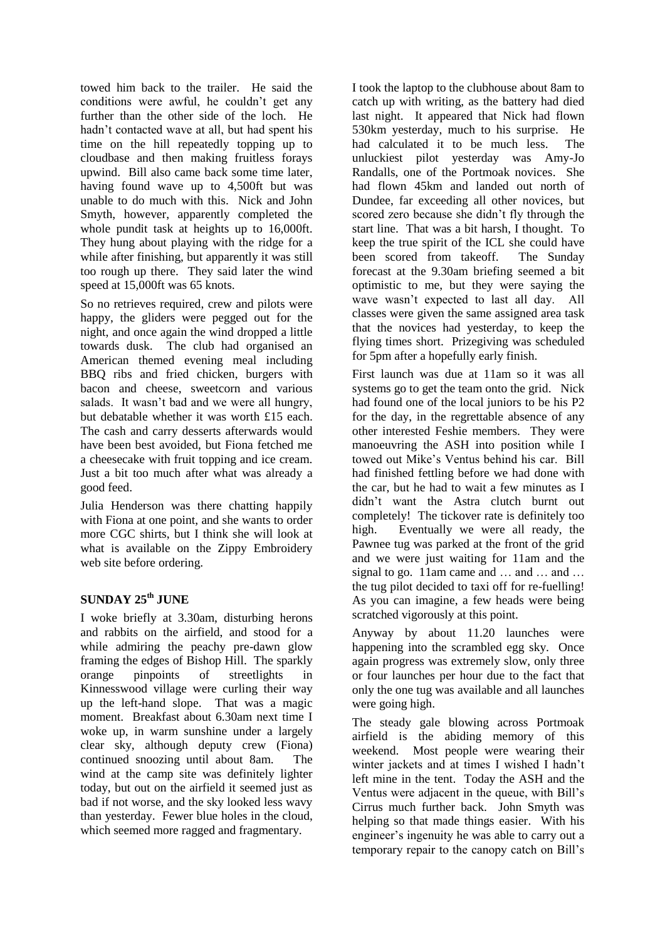towed him back to the trailer. He said the conditions were awful, he couldn't get any further than the other side of the loch. He hadn't contacted wave at all, but had spent his time on the hill repeatedly topping up to cloudbase and then making fruitless forays upwind. Bill also came back some time later, having found wave up to 4,500ft but was unable to do much with this. Nick and John Smyth, however, apparently completed the whole pundit task at heights up to 16,000ft. They hung about playing with the ridge for a while after finishing, but apparently it was still too rough up there. They said later the wind speed at 15,000ft was 65 knots.

So no retrieves required, crew and pilots were happy, the gliders were pegged out for the night, and once again the wind dropped a little towards dusk. The club had organised an American themed evening meal including BBQ ribs and fried chicken, burgers with bacon and cheese, sweetcorn and various salads. It wasn't bad and we were all hungry, but debatable whether it was worth £15 each. The cash and carry desserts afterwards would have been best avoided, but Fiona fetched me a cheesecake with fruit topping and ice cream. Just a bit too much after what was already a good feed.

Julia Henderson was there chatting happily with Fiona at one point, and she wants to order more CGC shirts, but I think she will look at what is available on the Zippy Embroidery web site before ordering.

## **SUNDAY 25th JUNE**

I woke briefly at 3.30am, disturbing herons and rabbits on the airfield, and stood for a while admiring the peachy pre-dawn glow framing the edges of Bishop Hill. The sparkly orange pinpoints of streetlights in Kinnesswood village were curling their way up the left-hand slope. That was a magic moment. Breakfast about 6.30am next time I woke up, in warm sunshine under a largely clear sky, although deputy crew (Fiona) continued snoozing until about 8am. The wind at the camp site was definitely lighter today, but out on the airfield it seemed just as bad if not worse, and the sky looked less wavy than yesterday. Fewer blue holes in the cloud, which seemed more ragged and fragmentary.

I took the laptop to the clubhouse about 8am to catch up with writing, as the battery had died last night. It appeared that Nick had flown 530km yesterday, much to his surprise. He had calculated it to be much less. The unluckiest pilot yesterday was Amy-Jo Randalls, one of the Portmoak novices. She had flown 45km and landed out north of Dundee, far exceeding all other novices, but scored zero because she didn't fly through the start line. That was a bit harsh, I thought. To keep the true spirit of the ICL she could have been scored from takeoff. The Sunday forecast at the 9.30am briefing seemed a bit optimistic to me, but they were saying the wave wasn't expected to last all day. All classes were given the same assigned area task that the novices had yesterday, to keep the flying times short. Prizegiving was scheduled for 5pm after a hopefully early finish.

First launch was due at 11am so it was all systems go to get the team onto the grid. Nick had found one of the local juniors to be his P2 for the day, in the regrettable absence of any other interested Feshie members. They were manoeuvring the ASH into position while I towed out Mike's Ventus behind his car. Bill had finished fettling before we had done with the car, but he had to wait a few minutes as I didn't want the Astra clutch burnt out completely! The tickover rate is definitely too high. Eventually we were all ready, the Pawnee tug was parked at the front of the grid and we were just waiting for 11am and the signal to go. 11am came and ... and ... and ... the tug pilot decided to taxi off for re-fuelling! As you can imagine, a few heads were being scratched vigorously at this point.

Anyway by about 11.20 launches were happening into the scrambled egg sky. Once again progress was extremely slow, only three or four launches per hour due to the fact that only the one tug was available and all launches were going high.

The steady gale blowing across Portmoak airfield is the abiding memory of this weekend. Most people were wearing their winter jackets and at times I wished I hadn't left mine in the tent. Today the ASH and the Ventus were adjacent in the queue, with Bill's Cirrus much further back. John Smyth was helping so that made things easier. With his engineer's ingenuity he was able to carry out a temporary repair to the canopy catch on Bill's